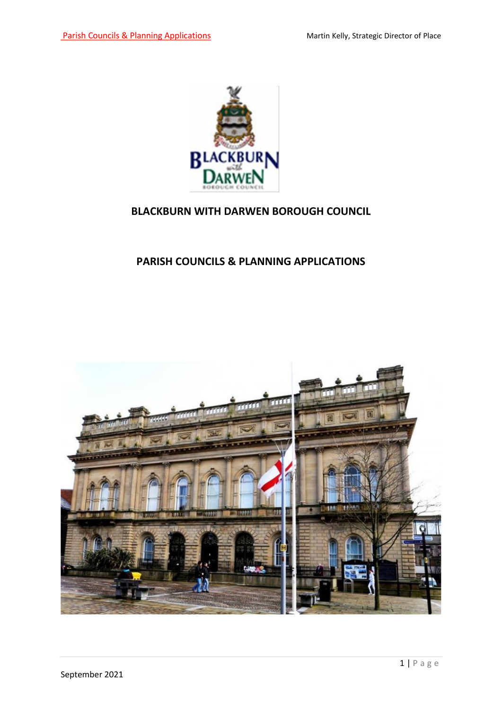

#### **BLACKBURN WITH DARWEN BOROUGH COUNCIL**

#### **PARISH COUNCILS & PLANNING APPLICATIONS**

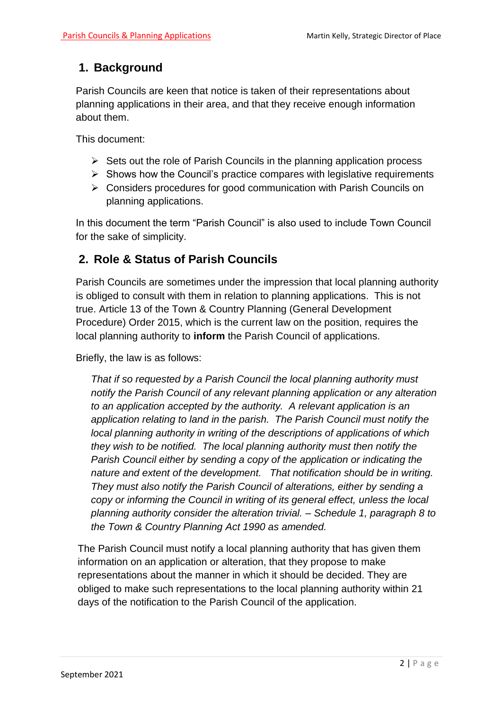# **1. Background**

Parish Councils are keen that notice is taken of their representations about planning applications in their area, and that they receive enough information about them.

This document:

- $\triangleright$  Sets out the role of Parish Councils in the planning application process
- $\triangleright$  Shows how the Council's practice compares with legislative requirements
- $\triangleright$  Considers procedures for good communication with Parish Councils on planning applications.

In this document the term "Parish Council" is also used to include Town Council for the sake of simplicity.

#### **2. Role & Status of Parish Councils**

Parish Councils are sometimes under the impression that local planning authority is obliged to consult with them in relation to planning applications. This is not true. Article 13 of the Town & Country Planning (General Development Procedure) Order 2015, which is the current law on the position, requires the local planning authority to **inform** the Parish Council of applications.

Briefly, the law is as follows:

*That if so requested by a Parish Council the local planning authority must notify the Parish Council of any relevant planning application or any alteration to an application accepted by the authority. A relevant application is an application relating to land in the parish. The Parish Council must notify the local planning authority in writing of the descriptions of applications of which they wish to be notified. The local planning authority must then notify the Parish Council either by sending a copy of the application or indicating the nature and extent of the development. That notification should be in writing. They must also notify the Parish Council of alterations, either by sending a copy or informing the Council in writing of its general effect, unless the local planning authority consider the alteration trivial. – Schedule 1, paragraph 8 to the Town & Country Planning Act 1990 as amended.* 

The Parish Council must notify a local planning authority that has given them information on an application or alteration, that they propose to make representations about the manner in which it should be decided. They are obliged to make such representations to the local planning authority within 21 days of the notification to the Parish Council of the application.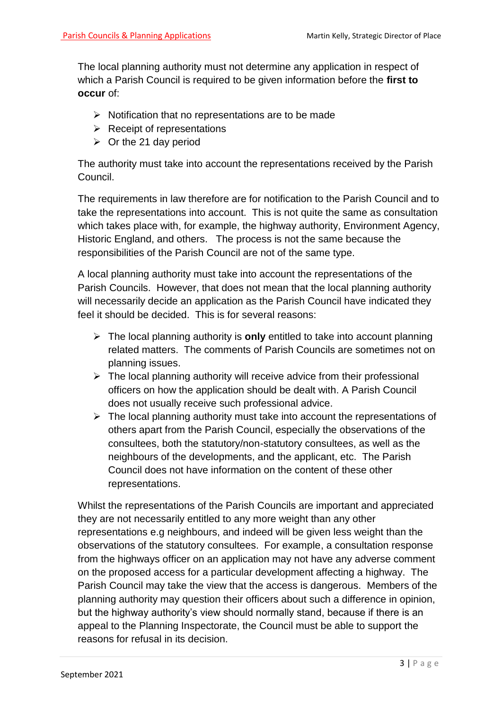The local planning authority must not determine any application in respect of which a Parish Council is required to be given information before the **first to occur** of:

- $\triangleright$  Notification that no representations are to be made
- $\triangleright$  Receipt of representations
- $\triangleright$  Or the 21 day period

The authority must take into account the representations received by the Parish Council.

The requirements in law therefore are for notification to the Parish Council and to take the representations into account. This is not quite the same as consultation which takes place with, for example, the highway authority, Environment Agency, Historic England, and others. The process is not the same because the responsibilities of the Parish Council are not of the same type.

A local planning authority must take into account the representations of the Parish Councils. However, that does not mean that the local planning authority will necessarily decide an application as the Parish Council have indicated they feel it should be decided. This is for several reasons:

- The local planning authority is **only** entitled to take into account planning related matters. The comments of Parish Councils are sometimes not on planning issues.
- $\triangleright$  The local planning authority will receive advice from their professional officers on how the application should be dealt with. A Parish Council does not usually receive such professional advice.
- $\triangleright$  The local planning authority must take into account the representations of others apart from the Parish Council, especially the observations of the consultees, both the statutory/non-statutory consultees, as well as the neighbours of the developments, and the applicant, etc. The Parish Council does not have information on the content of these other representations.

Whilst the representations of the Parish Councils are important and appreciated they are not necessarily entitled to any more weight than any other representations e.g neighbours, and indeed will be given less weight than the observations of the statutory consultees. For example, a consultation response from the highways officer on an application may not have any adverse comment on the proposed access for a particular development affecting a highway. The Parish Council may take the view that the access is dangerous. Members of the planning authority may question their officers about such a difference in opinion, but the highway authority's view should normally stand, because if there is an appeal to the Planning Inspectorate, the Council must be able to support the reasons for refusal in its decision.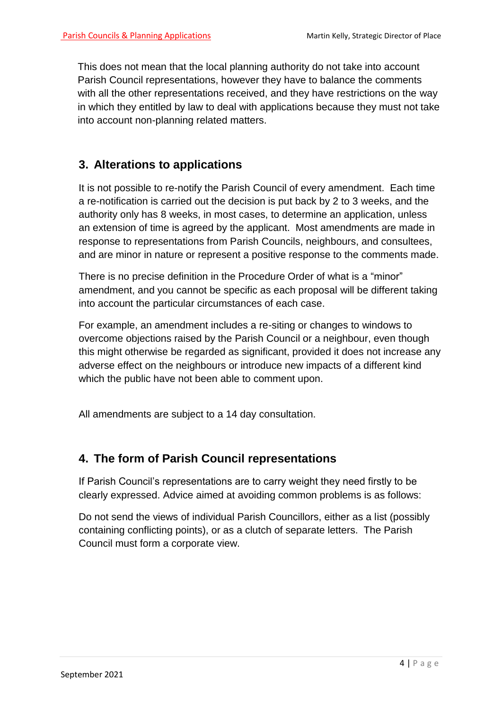This does not mean that the local planning authority do not take into account Parish Council representations, however they have to balance the comments with all the other representations received, and they have restrictions on the way in which they entitled by law to deal with applications because they must not take into account non-planning related matters.

# **3. Alterations to applications**

It is not possible to re-notify the Parish Council of every amendment. Each time a re-notification is carried out the decision is put back by 2 to 3 weeks, and the authority only has 8 weeks, in most cases, to determine an application, unless an extension of time is agreed by the applicant. Most amendments are made in response to representations from Parish Councils, neighbours, and consultees, and are minor in nature or represent a positive response to the comments made.

There is no precise definition in the Procedure Order of what is a "minor" amendment, and you cannot be specific as each proposal will be different taking into account the particular circumstances of each case.

For example, an amendment includes a re-siting or changes to windows to overcome objections raised by the Parish Council or a neighbour, even though this might otherwise be regarded as significant, provided it does not increase any adverse effect on the neighbours or introduce new impacts of a different kind which the public have not been able to comment upon.

All amendments are subject to a 14 day consultation.

# **4. The form of Parish Council representations**

If Parish Council's representations are to carry weight they need firstly to be clearly expressed. Advice aimed at avoiding common problems is as follows:

Do not send the views of individual Parish Councillors, either as a list (possibly containing conflicting points), or as a clutch of separate letters. The Parish Council must form a corporate view.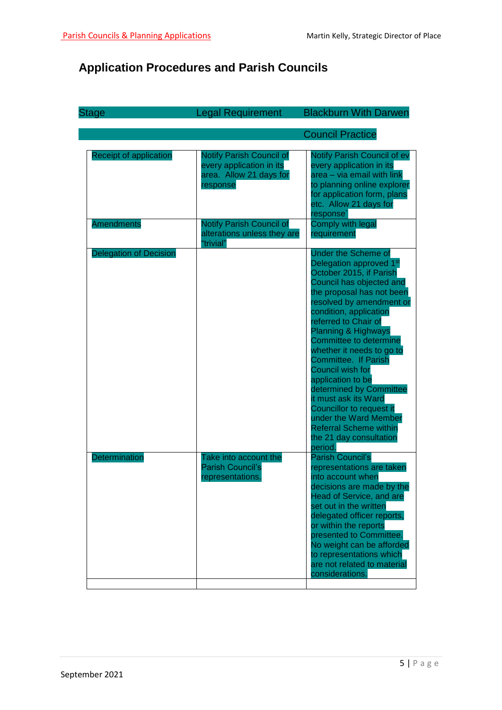# **Application Procedures and Parish Councils**

| <b>Stage</b>                  | <b>Legal Requirement</b>                                                                    | <b>Blackburn With Darwen</b>                                                                                                                                                                                                                                                                                                                                                                                                                                                                                                                                                        |
|-------------------------------|---------------------------------------------------------------------------------------------|-------------------------------------------------------------------------------------------------------------------------------------------------------------------------------------------------------------------------------------------------------------------------------------------------------------------------------------------------------------------------------------------------------------------------------------------------------------------------------------------------------------------------------------------------------------------------------------|
|                               |                                                                                             | <b>Council Practice</b>                                                                                                                                                                                                                                                                                                                                                                                                                                                                                                                                                             |
| <b>Receipt of application</b> | Notify Parish Council of<br>every application in its<br>area. Allow 21 days for<br>response | Notify Parish Council of ev<br>every application in its<br>area - via email with link<br>to planning online explorer<br>for application form, plans<br>etc. Allow 21 days for<br>response <sup>®</sup>                                                                                                                                                                                                                                                                                                                                                                              |
| <b>Amendments</b>             | <b>Notify Parish Council of</b><br>alterations unless they are<br>"trivial"                 | <b>Comply with legal</b><br>requirement                                                                                                                                                                                                                                                                                                                                                                                                                                                                                                                                             |
| <b>Delegation of Decision</b> |                                                                                             | <b>Under the Scheme of</b><br>Delegation approved 1 <sup>st</sup><br>October 2015, if Parish<br>Council has objected and<br>the proposal has not been<br>resolved by amendment or<br>condition, application<br>referred to Chair of<br><b>Planning &amp; Highways</b><br>Committee to determine<br>whether it needs to go to<br><b>Committee. If Parish</b><br>Council wish for<br>application to be<br>determined by Committee<br>it must ask its Ward<br>Councillor to request it<br>under the Ward Member<br><b>Referral Scheme within</b><br>the 21 day consultation<br>period. |
| Determination                 | Take into account the<br><b>Parish Council's</b><br>representations.                        | Parish Council's<br>representations are taken<br>into account when<br>decisions are made by the<br><b>Head of Service, and are</b><br>set out in the written<br>delegated officer reports,<br>or within the reports<br>presented to Committee.<br>No weight can be afforded<br>to representations which<br>are not related to material<br>considerations.                                                                                                                                                                                                                           |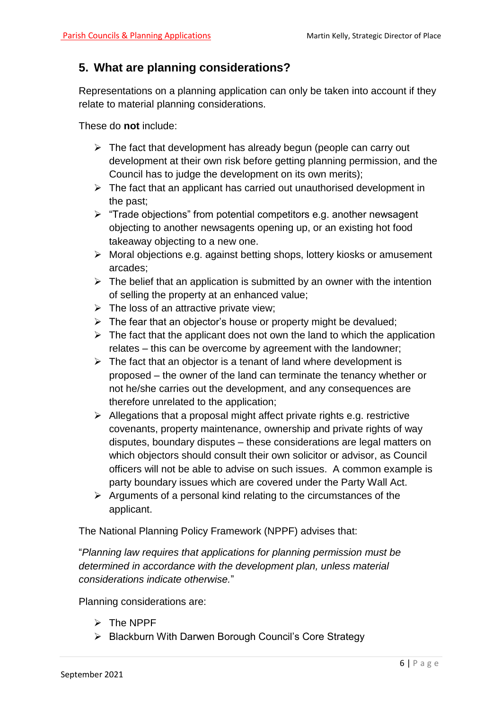#### **5. What are planning considerations?**

Representations on a planning application can only be taken into account if they relate to material planning considerations.

These do **not** include:

- $\triangleright$  The fact that development has already begun (people can carry out development at their own risk before getting planning permission, and the Council has to judge the development on its own merits);
- $\triangleright$  The fact that an applicant has carried out unauthorised development in the past;
- $\triangleright$  "Trade objections" from potential competitors e.g. another newsagent objecting to another newsagents opening up, or an existing hot food takeaway objecting to a new one.
- $\triangleright$  Moral objections e.g. against betting shops, lottery kiosks or amusement arcades;
- $\triangleright$  The belief that an application is submitted by an owner with the intention of selling the property at an enhanced value;
- $\triangleright$  The loss of an attractive private view;
- $\triangleright$  The fear that an objector's house or property might be devalued:
- $\triangleright$  The fact that the applicant does not own the land to which the application relates – this can be overcome by agreement with the landowner;
- $\triangleright$  The fact that an objector is a tenant of land where development is proposed – the owner of the land can terminate the tenancy whether or not he/she carries out the development, and any consequences are therefore unrelated to the application;
- $\triangleright$  Allegations that a proposal might affect private rights e.g. restrictive covenants, property maintenance, ownership and private rights of way disputes, boundary disputes – these considerations are legal matters on which objectors should consult their own solicitor or advisor, as Council officers will not be able to advise on such issues. A common example is party boundary issues which are covered under the Party Wall Act.
- $\triangleright$  Arguments of a personal kind relating to the circumstances of the applicant.

The National Planning Policy Framework (NPPF) advises that:

"*Planning law requires that applications for planning permission must be determined in accordance with the development plan, unless material considerations indicate otherwise.*"

Planning considerations are:

- $\triangleright$  The NPPF
- ▶ Blackburn With Darwen Borough Council's Core Strategy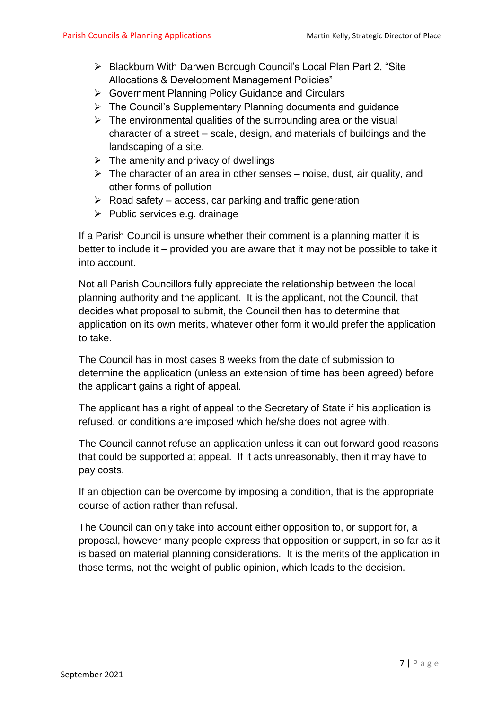- ▶ Blackburn With Darwen Borough Council's Local Plan Part 2, "Site Allocations & Development Management Policies"
- Government Planning Policy Guidance and Circulars
- $\triangleright$  The Council's Supplementary Planning documents and guidance
- $\triangleright$  The environmental qualities of the surrounding area or the visual character of a street – scale, design, and materials of buildings and the landscaping of a site.
- $\triangleright$  The amenity and privacy of dwellings
- $\triangleright$  The character of an area in other senses noise, dust, air quality, and other forms of pollution
- $\triangleright$  Road safety access, car parking and traffic generation
- $\triangleright$  Public services e.g. drainage

If a Parish Council is unsure whether their comment is a planning matter it is better to include it – provided you are aware that it may not be possible to take it into account.

Not all Parish Councillors fully appreciate the relationship between the local planning authority and the applicant. It is the applicant, not the Council, that decides what proposal to submit, the Council then has to determine that application on its own merits, whatever other form it would prefer the application to take.

The Council has in most cases 8 weeks from the date of submission to determine the application (unless an extension of time has been agreed) before the applicant gains a right of appeal.

The applicant has a right of appeal to the Secretary of State if his application is refused, or conditions are imposed which he/she does not agree with.

The Council cannot refuse an application unless it can out forward good reasons that could be supported at appeal. If it acts unreasonably, then it may have to pay costs.

If an objection can be overcome by imposing a condition, that is the appropriate course of action rather than refusal.

The Council can only take into account either opposition to, or support for, a proposal, however many people express that opposition or support, in so far as it is based on material planning considerations. It is the merits of the application in those terms, not the weight of public opinion, which leads to the decision.